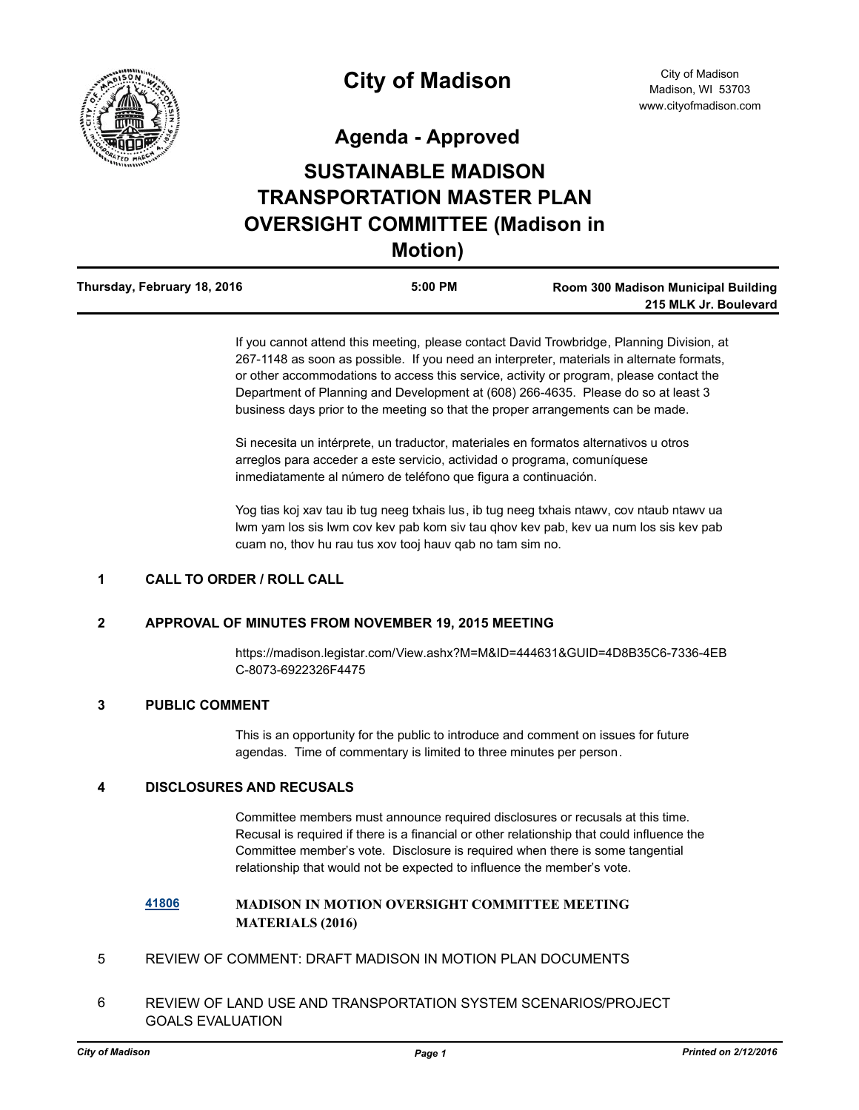

**Agenda - Approved**

# **SUSTAINABLE MADISON TRANSPORTATION MASTER PLAN OVERSIGHT COMMITTEE (Madison in Motion)**

| Thursday, February 18, 2016 | $5:00$ PM | Room 300 Madison Municipal Building |
|-----------------------------|-----------|-------------------------------------|
|                             |           | 215 MLK Jr. Boulevard               |

If you cannot attend this meeting, please contact David Trowbridge, Planning Division, at 267-1148 as soon as possible. If you need an interpreter, materials in alternate formats, or other accommodations to access this service, activity or program, please contact the Department of Planning and Development at (608) 266-4635. Please do so at least 3 business days prior to the meeting so that the proper arrangements can be made.

Si necesita un intérprete, un traductor, materiales en formatos alternativos u otros arreglos para acceder a este servicio, actividad o programa, comuníquese inmediatamente al número de teléfono que figura a continuación.

Yog tias koj xav tau ib tug neeg txhais lus, ib tug neeg txhais ntawv, cov ntaub ntawv ua lwm yam los sis lwm cov kev pab kom siv tau qhov kev pab, kev ua num los sis kev pab cuam no, thov hu rau tus xov tooj hauv qab no tam sim no.

#### **1 CALL TO ORDER / ROLL CALL**

#### **2 APPROVAL OF MINUTES FROM NOVEMBER 19, 2015 MEETING**

https://madison.legistar.com/View.ashx?M=M&ID=444631&GUID=4D8B35C6-7336-4EB C-8073-6922326F4475

#### **3 PUBLIC COMMENT**

This is an opportunity for the public to introduce and comment on issues for future agendas. Time of commentary is limited to three minutes per person.

#### **4 DISCLOSURES AND RECUSALS**

Committee members must announce required disclosures or recusals at this time. Recusal is required if there is a financial or other relationship that could influence the Committee member's vote. Disclosure is required when there is some tangential relationship that would not be expected to influence the member's vote.

### **[41806](http://madison.legistar.com/gateway.aspx?m=l&id=/matter.aspx?key=46148) MADISON IN MOTION OVERSIGHT COMMITTEE MEETING MATERIALS (2016)**

- 5 REVIEW OF COMMENT: DRAFT MADISON IN MOTION PLAN DOCUMENTS
- 6 REVIEW OF LAND USE AND TRANSPORTATION SYSTEM SCENARIOS/PROJECT GOALS EVALUATION